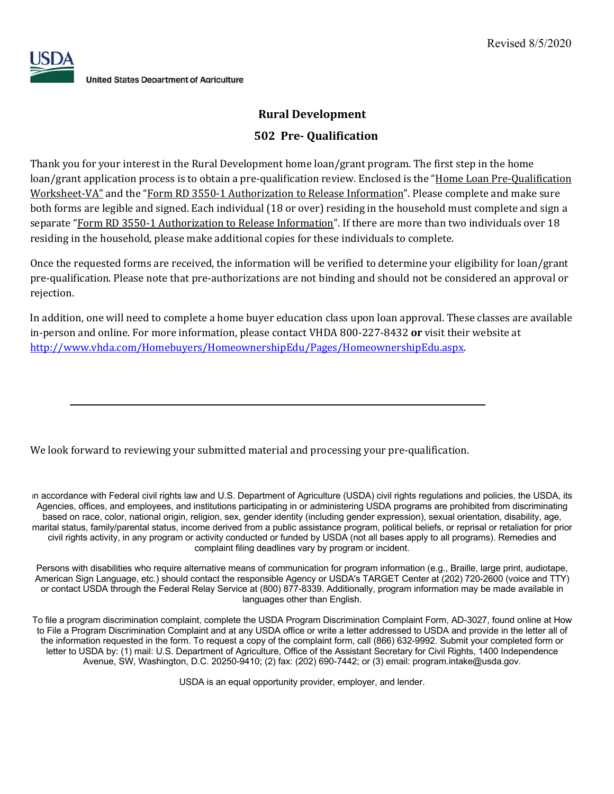

# **Rural Development**

# **502 Pre- Qualification**

Thank you for your interest in the Rural Development home loan/grant program. The first step in the home loan/grant application process is to obtain a pre-qualification review. Enclosed is the "Home Loan Pre-Qualification Worksheet-VA" and the "Form RD 3550-1 Authorization to Release Information". Please complete and make sure both forms are legible and signed. Each individual (18 or over) residing in the household must complete and sign a separate "Form RD 3550-1 Authorization to Release Information". If there are more than two individuals over 18 residing in the household, please make additional copies for these individuals to complete.

Once the requested forms are received, the information will be verified to determine your eligibility for loan/grant pre-qualification. Please note that pre-authorizations are not binding and should not be considered an approval or rejection.

In addition, one will need to complete a home buyer education class upon loan approval. These classes are available in-person and online. For more information, please contact VHDA 800-227-8432 or visit their website at http://www.vhda.com/Homebuyers/HomeownershipEdu/Pages/HomeownershipEdu.aspx.

We look forward to reviewing your submitted material and processing your pre-qualification.

In accordance with Federal civil rights law and U.S. Department of Agriculture (USDA) civil rights regulations and policies, the USDA, its Agencies, offices, and employees, and institutions participating in or administering USDA programs are prohibited from discriminating based on race, color, national origin, religion, sex, gender identity (including gender expression), sexual orientation, disability, age, marital status, family/parental status, income derived from a public assistance program, political beliefs, or reprisal or retaliation for prior civil rights activity, in any program or activity conducted or funded by USDA (not all bases apply to all programs). Remedies and complaint filing deadlines vary by program or incident.

Persons with disabilities who require alternative means of communication for program information (e.g., Braille, large print, audiotape, American Sign Language, etc.) should contact the responsible Agency or USDA's TARGET Center at (202) 720-2600 (voice and TTY) or contact USDA through the Federal Relay Service at (800) 877-8339. Additionally, program information may be made available in languages other than English.

To file a program discrimination complaint, complete the USDA Program Discrimination Complaint Form, AD-3027, found online at How to File a Program Discrimination Complaint and at any USDA office or write a letter addressed to USDA and provide in the letter all of the information requested in the form. To request a copy of the complaint form, call (866) 632-9992. Submit your completed form or letter to USDA by: (1) mail: U.S. Department of Agriculture, Office of the Assistant Secretary for Civil Rights, 1400 Independence Avenue, SW, Washington, D.C. 20250-9410; (2) fax: (202) 690-7442; or (3) email: program.intake@usda.gov.

USDA is an equal opportunity provider, employer, and lender.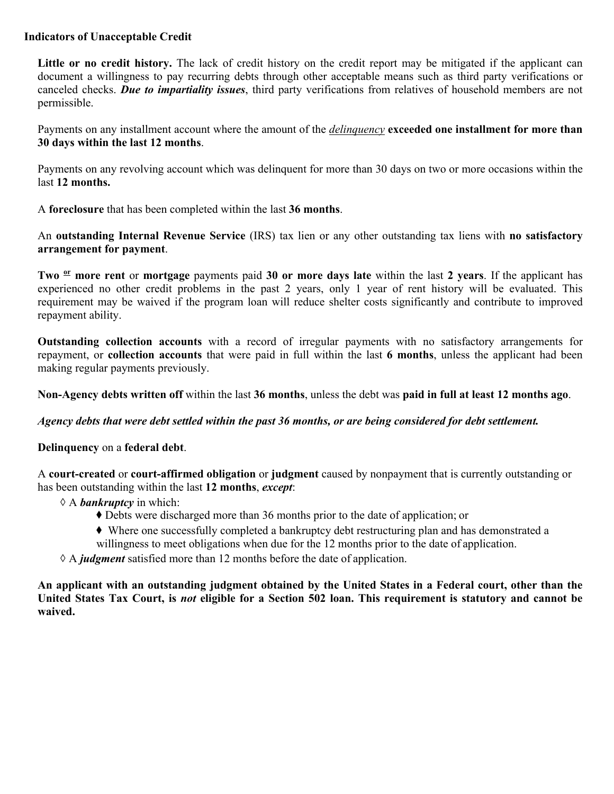## **Indicators of Unacceptable Credit**

**Little or no credit history.** The lack of credit history on the credit report may be mitigated if the applicant can document a willingness to pay recurring debts through other acceptable means such as third party verifications or canceled checks. *Due to impartiality issues*, third party verifications from relatives of household members are not permissible.

Payments on any installment account where the amount of the *delinquency* **exceeded one installment for more than 30 days within the last 12 months**.

Payments on any revolving account which was delinquent for more than 30 days on two or more occasions within the last **12 months.**

A **foreclosure** that has been completed within the last **36 months**.

An **outstanding Internal Revenue Service** (IRS) tax lien or any other outstanding tax liens with **no satisfactory arrangement for payment**.

**Two or more rent** or **mortgage** payments paid **30 or more days late** within the last **2 years**. If the applicant has experienced no other credit problems in the past 2 years, only 1 year of rent history will be evaluated. This requirement may be waived if the program loan will reduce shelter costs significantly and contribute to improved repayment ability.

**Outstanding collection accounts** with a record of irregular payments with no satisfactory arrangements for repayment, or **collection accounts** that were paid in full within the last **6 months**, unless the applicant had been making regular payments previously.

**Non-Agency debts written off** within the last **36 months**, unless the debt was **paid in full at least 12 months ago**.

## *Agency debts that were debt settled within the past 36 months, or are being considered for debt settlement.*

**Delinquency** on a **federal debt**.

A **court-created** or **court-affirmed obligation** or **judgment** caused by nonpayment that is currently outstanding or has been outstanding within the last **12 months**, *except*:

- ◇ A *bankruptcy* in which:
	- ◆ Debts were discharged more than 36 months prior to the date of application; or
	- ◆ Where one successfully completed a bankruptcy debt restructuring plan and has demonstrated a
	- willingness to meet obligations when due for the 12 months prior to the date of application.
- ◇ A *judgment* satisfied more than 12 months before the date of application.

**An applicant with an outstanding judgment obtained by the United States in a Federal court, other than the United States Tax Court, is** *not* **eligible for a Section 502 loan. This requirement is statutory and cannot be waived.**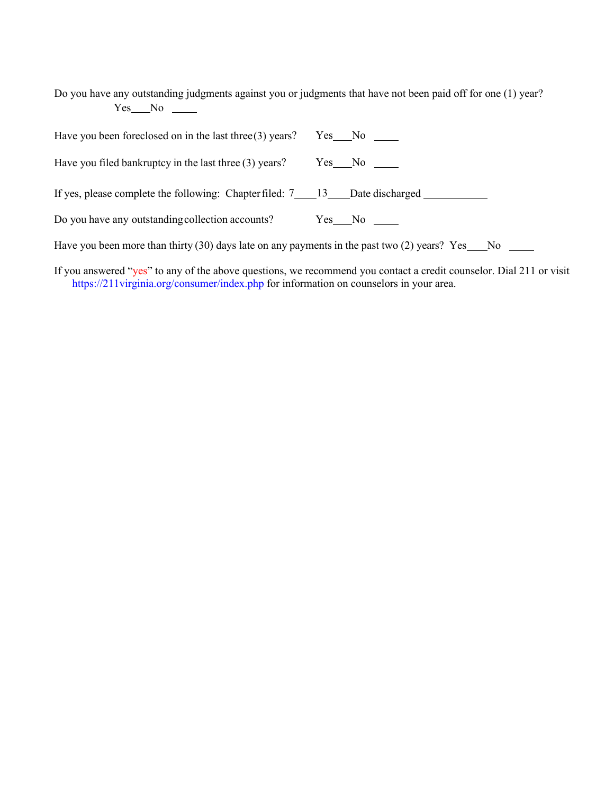Do you have any outstanding judgments against you or judgments that have not been paid off for one (1) year? Yes No

| Have you been foreclosed on in the last three $(3)$ years?                                                    | $Yes$ No $\_\_$    |
|---------------------------------------------------------------------------------------------------------------|--------------------|
| Have you filed bankruptcy in the last three $(3)$ years?                                                      | $Yes$ No $\_\_$    |
| If yes, please complete the following: Chapter filed: 7____13____Date discharged _______                      |                    |
| Do you have any outstanding collection accounts?                                                              | $Yes$ No $\_\_\_\$ |
| Have you been more than thirty (30) days late on any payments in the past two (2) years? Yes $\_\_$ No $\_\_$ |                    |
|                                                                                                               |                    |

If you answered "yes" to any of the above questions, we recommend you contact a credit counselor. Dial 211 or visit https://211virginia.org/consumer/index.php for information on counselors in your area.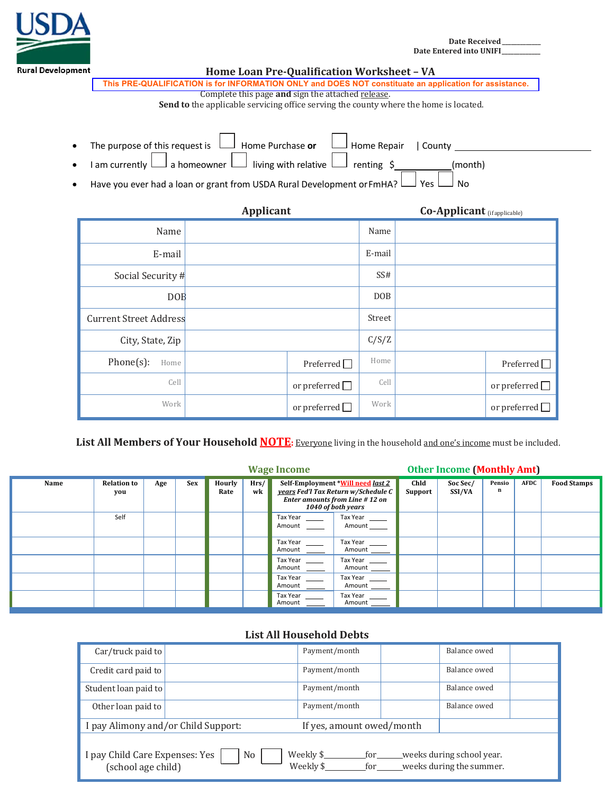

Date Received **Date Entered into UNIFI\_** 

| nent                                                                                                                                                                                                                                                                                                                                                                                                    |                                                                                       | Home Loan Pre-Qualification Worksheet - VA                                                             |            |  |  |  |  |  |  |
|---------------------------------------------------------------------------------------------------------------------------------------------------------------------------------------------------------------------------------------------------------------------------------------------------------------------------------------------------------------------------------------------------------|---------------------------------------------------------------------------------------|--------------------------------------------------------------------------------------------------------|------------|--|--|--|--|--|--|
|                                                                                                                                                                                                                                                                                                                                                                                                         |                                                                                       | This PRE-QUALIFICATION is for INFORMATION ONLY and DOES NOT constituate an application for assistance. |            |  |  |  |  |  |  |
|                                                                                                                                                                                                                                                                                                                                                                                                         | Complete this page and sign the attached release.                                     |                                                                                                        |            |  |  |  |  |  |  |
|                                                                                                                                                                                                                                                                                                                                                                                                         | Send to the applicable servicing office serving the county where the home is located. |                                                                                                        |            |  |  |  |  |  |  |
| The purpose of this request is $\perp$<br>$\Box$ Home Purchase or<br>Home Repair   County<br>$\perp$ a homeowner $\lfloor \_\_\ \rfloor$ living with relative $\vert$<br>I am currently $l$<br>$renting \; \xi$<br>(month)<br>$\bullet$<br>Have you ever had a loan or grant from USDA Rural Development or FmHA? L<br>Yes<br><b>No</b><br>٠<br><b>Applicant</b><br><b>Co-Applicant</b> (if applicable) |                                                                                       |                                                                                                        |            |  |  |  |  |  |  |
|                                                                                                                                                                                                                                                                                                                                                                                                         | Name                                                                                  |                                                                                                        | Name       |  |  |  |  |  |  |
|                                                                                                                                                                                                                                                                                                                                                                                                         | E-mail                                                                                |                                                                                                        | E-mail     |  |  |  |  |  |  |
|                                                                                                                                                                                                                                                                                                                                                                                                         | Social Security #                                                                     |                                                                                                        | SS#        |  |  |  |  |  |  |
|                                                                                                                                                                                                                                                                                                                                                                                                         | <b>DOE</b>                                                                            |                                                                                                        | <b>DOB</b> |  |  |  |  |  |  |
|                                                                                                                                                                                                                                                                                                                                                                                                         | <b>Current Street Address</b>                                                         |                                                                                                        | Street     |  |  |  |  |  |  |
|                                                                                                                                                                                                                                                                                                                                                                                                         | City, State, Zip                                                                      |                                                                                                        | C/S/Z      |  |  |  |  |  |  |

| Work | or preterred | Work | or preferred |
|------|--------------|------|--------------|
|      |              |      |              |

Phone(s): Home Preferred Preferred Home Preferred Preferred  $\Box$ 

 $\begin{array}{|c|c|c|c|}\n\hline\n\text{Cell} & \text{or preferred} & \text{Cell} & \text{or preferred} & \text{or preferred} & \text{or} & \text{or preferred} & \text{or} & \text{or generated} & \text{or} & \text{or generated} & \text{or} & \text{or generated} & \text{or} & \text{or generated} & \text{or} & \text{or generated} & \text{or} & \text{or} & \text{or generated} & \text{or} & \text{or generated} & \text{or} & \text{or generated} & \text{or} & \text{or generated} & \text{or} & \text{or generated} & \text{or} & \text{or generated} & \text{or}$ 

List All Members of Your Household **NOTE:** Everyone living in the household and one's income must be included.

|      |                           |     |            | <b>Wage Income</b> |            |                    |                                                                                                                                  | <b>Other Income (Monthly Amt)</b> |                    |             |             |                    |
|------|---------------------------|-----|------------|--------------------|------------|--------------------|----------------------------------------------------------------------------------------------------------------------------------|-----------------------------------|--------------------|-------------|-------------|--------------------|
| Name | <b>Relation to</b><br>you | Age | <b>Sex</b> | Hourly<br>Rate     | Hrs/<br>wk |                    | Self-Employment *Will need last 2<br>years Fed'l Tax Return w/Schedule C<br>Enter amounts from Line #12 on<br>1040 of both years | Chld<br>Support                   | Soc Sec/<br>SSI/VA | Pensio<br>n | <b>AFDC</b> | <b>Food Stamps</b> |
|      | Self                      |     |            |                    |            | Tax Year<br>Amount | Tax Year<br>Amount                                                                                                               |                                   |                    |             |             |                    |
|      |                           |     |            |                    |            | Tax Year<br>Amount | Tax Year<br>Amount                                                                                                               |                                   |                    |             |             |                    |
|      |                           |     |            |                    |            | Tax Year<br>Amount | Tax Year<br>Amount                                                                                                               |                                   |                    |             |             |                    |
|      |                           |     |            |                    |            | Tax Year<br>Amount | Tax Year<br>Amount                                                                                                               |                                   |                    |             |             |                    |
|      |                           |     |            |                    |            | Tax Year<br>Amount | Tax Year<br>Amount                                                                                                               |                                   |                    |             |             |                    |

## List All Household Debts

| Car/truck paid to                                                                                                                                                             |  | Payment/month |  | Balance owed |  |
|-------------------------------------------------------------------------------------------------------------------------------------------------------------------------------|--|---------------|--|--------------|--|
| Credit card paid to                                                                                                                                                           |  | Payment/month |  | Balance owed |  |
| Student loan paid to                                                                                                                                                          |  | Payment/month |  | Balance owed |  |
| Other loan paid to                                                                                                                                                            |  | Payment/month |  | Balance owed |  |
| I pay Alimony and/or Child Support:<br>If yes, amount owed/month                                                                                                              |  |               |  |              |  |
| Weekly \$<br>for ______weeks during school year.<br>I pay Child Care Expenses: Yes<br>N <sub>0</sub><br>Weekly \$<br>for ______weeks during the summer.<br>(school age child) |  |               |  |              |  |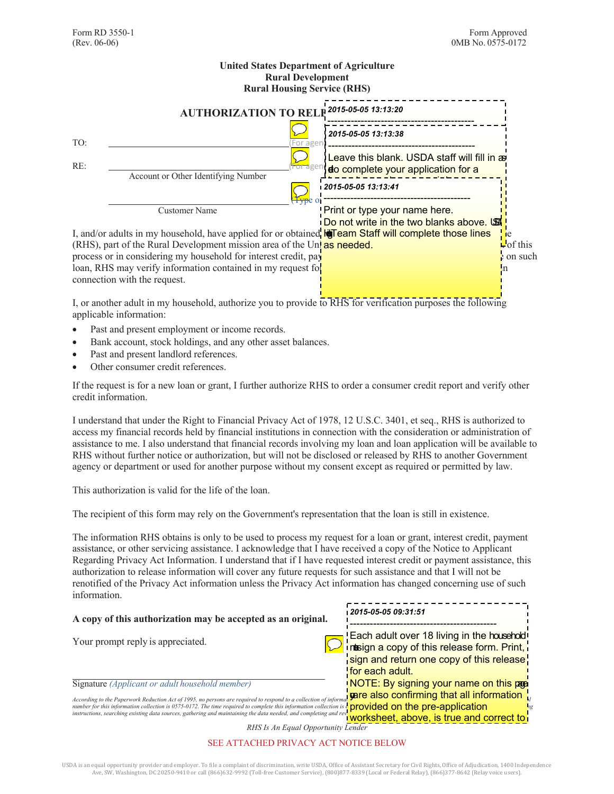#### **United States Department of Agriculture Rural Development Rural Housing Service (RHS) AUTHORIZATION TO RELP** TO:  $\overline{C}$  (For agency to complete as needed)  $\overline{C}$  (For agency to complete as needed)  $\overline{C}$ RE: <u>International Complete and the Complete of the complete as needed</u> as needed as new section for a new section for a Account or Other Identifying Number (Type or <del>-----------------------</del> Customer Name I, and/or adults in my household, have applied for or obtained **ligTeam Staff will complete those lines** lice (RHS), part of the Rural Development mission area of the United States Department of Agriculture. As part of this part of this part of this part of the Nural Development mission area of the United States Development and process or in considering my household for interest credit, payment assistance, or other servicing assistance on such loan, RHS may verify information contained in my request for assistance and in other documents required in our documents required in our documents required in our documents required in our documents required in our docume connection with the request. *2015-05-05 13:13:20* -------------------------------------------- Leave this blank. USDA staff will fill in as *2015-05-05 13:13:38* nedto complete your application for a Leave this blank. USDA staff will fill in as ------------------------------------------- home loan or home repair loan. *2015-05-05 13:13:41* -------------------------------------------- Print or type your name here. Do not write in the two blanks above. USA

I, or another adult in my household, authorize you to provide to RHS for verification purposes the following applicable information:

- Past and present employment or income records.
- Bank account, stock holdings, and any other asset balances.
- Past and present landlord references.
- Other consumer credit references.

If the request is for a new loan or grant, I further authorize RHS to order a consumer credit report and verify other credit information.

I understand that under the Right to Financial Privacy Act of 1978, 12 U.S.C. 3401, et seq., RHS is authorized to access my financial records held by financial institutions in connection with the consideration or administration of assistance to me. I also understand that financial records involving my loan and loan application will be available to RHS without further notice or authorization, but will not be disclosed or released by RHS to another Government agency or department or used for another purpose without my consent except as required or permitted by law.

This authorization is valid for the life of the loan.

The recipient of this form may rely on the Government's representation that the loan is still in existence.

The information RHS obtains is only to be used to process my request for a loan or grant, interest credit, payment assistance, or other servicing assistance. I acknowledge that I have received a copy of the Notice to Applicant Regarding Privacy Act Information. I understand that if I have requested interest credit or payment assistance, this authorization to release information will cover any future requests for such assistance and that I will not be renotified of the Privacy Act information unless the Privacy Act information has changed concerning use of such information.

| A copy of this authorization may be accepted as an original.                                                                                                                                                                                                                                                                                                                                                                                | 2015-05-05 09:31:51 ا                                                                   |  |  |  |
|---------------------------------------------------------------------------------------------------------------------------------------------------------------------------------------------------------------------------------------------------------------------------------------------------------------------------------------------------------------------------------------------------------------------------------------------|-----------------------------------------------------------------------------------------|--|--|--|
| Your prompt reply is appreciated.                                                                                                                                                                                                                                                                                                                                                                                                           | Each adult over 18 living in the household interior a copy of this release form. Print, |  |  |  |
|                                                                                                                                                                                                                                                                                                                                                                                                                                             | sign and return one copy of this release!                                               |  |  |  |
|                                                                                                                                                                                                                                                                                                                                                                                                                                             | <i>for each adult.</i>                                                                  |  |  |  |
| Signature (Applicant or adult household member)                                                                                                                                                                                                                                                                                                                                                                                             | NOTE: By signing your name on this pape                                                 |  |  |  |
| According to the Paperwork Reduction Act of 1995, no persons are required to respond to a collection of informat <b>yare also confirming that all information</b><br>number for this information collection is 0575-0172. The time required to complete this information collection is eprovided on the pre-application<br>instructions, searching existing data sources, gathering and maintaining the data needed, and completing and rev | worksheet, above, is true and correct to                                                |  |  |  |
| RHS Is An Equal Opportunity Lender                                                                                                                                                                                                                                                                                                                                                                                                          |                                                                                         |  |  |  |

## SEE ATTACHED PRIVACY ACT NOTICE BELOW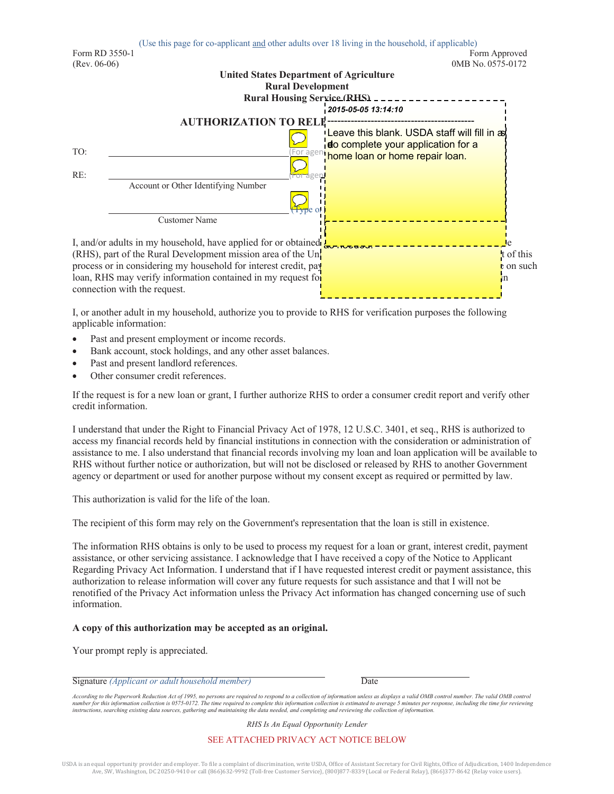

I, or another adult in my household, authorize you to provide to RHS for verification purposes the following applicable information:

- Past and present employment or income records.
- Bank account, stock holdings, and any other asset balances.
- Past and present landlord references.
- Other consumer credit references.

If the request is for a new loan or grant, I further authorize RHS to order a consumer credit report and verify other credit information.

I understand that under the Right to Financial Privacy Act of 1978, 12 U.S.C. 3401, et seq., RHS is authorized to access my financial records held by financial institutions in connection with the consideration or administration of assistance to me. I also understand that financial records involving my loan and loan application will be available to RHS without further notice or authorization, but will not be disclosed or released by RHS to another Government agency or department or used for another purpose without my consent except as required or permitted by law.

This authorization is valid for the life of the loan.

The recipient of this form may rely on the Government's representation that the loan is still in existence.

The information RHS obtains is only to be used to process my request for a loan or grant, interest credit, payment assistance, or other servicing assistance. I acknowledge that I have received a copy of the Notice to Applicant Regarding Privacy Act Information. I understand that if I have requested interest credit or payment assistance, this authorization to release information will cover any future requests for such assistance and that I will not be renotified of the Privacy Act information unless the Privacy Act information has changed concerning use of such information.

### **A copy of this authorization may be accepted as an original.**

Your prompt reply is appreciated.

#### Signature *(Applicant or adult household member)* Date

*According to the Paperwork Reduction Act of 1995, no persons are required to respond to a collection of information unless as displays a valid OMB control number. The valid OMB control*  number for this information collection is 0575-0172. The time required to complete this information collection is estimated to average 5 minutes per response, including the time for reviewing<br>instructions, searching existi

*RHS Is An Equal Opportunity Lender*

### SEE ATTACHED PRIVACY ACT NOTICE BELOW

USDA is an equal opportunity provider and employer. To file a complaint of discrimination, write USDA, Office of Assistant Secretary for Civil Rights, Office of Adjudication, 1400 Independence Ave, SW, Washington, DC 20250-9410 or call (866)632-9992 (Toll-free Customer Service), (800)877-8339 (Local or Federal Relay), (866)377-8642 (Relay voice users).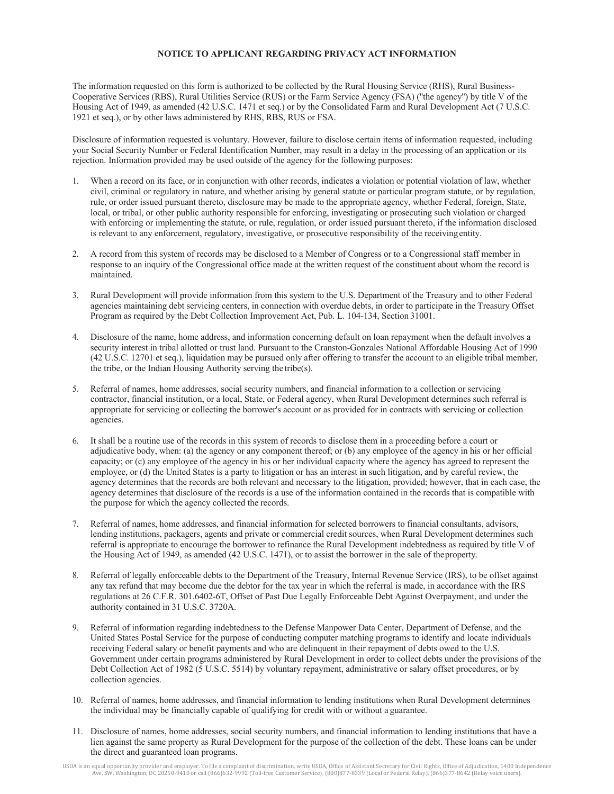### **NOTICE TO APPLICANT REGARDING PRIVACY ACT INFORMATION**

The information requested on this form is authorized to be collected by the Rural Housing Service (RHS), Rural Business-Cooperative Services (RBS), Rural Utilities Service (RUS) or the Farm Service Agency (FSA) (''the agency'') by title V of the Housing Act of 1949, as amended (42 U.S.C. 1471 et seq.) or by the Consolidated Farm and Rural Development Act (7 U.S.C. 1921 et seq.), or by other laws administered by RHS, RBS, RUS or FSA.

Disclosure of information requested is voluntary. However, failure to disclose certain items of information requested, including your Social Security Number or Federal Identification Number, may result in a delay in the processing of an application or its rejection. Information provided may be used outside of the agency for the following purposes:

- 1. When a record on its face, or in conjunction with other records, indicates a violation or potential violation of law, whether civil, criminal or regulatory in nature, and whether arising by general statute or particular program statute, or by regulation, rule, or order issued pursuant thereto, disclosure may be made to the appropriate agency, whether Federal, foreign, State, local, or tribal, or other public authority responsible for enforcing, investigating or prosecuting such violation or charged with enforcing or implementing the statute, or rule, regulation, or order issued pursuant thereto, if the information disclosed is relevant to any enforcement, regulatory, investigative, or prosecutive responsibility of the receivingentity.
- 2. A record from this system of records may be disclosed to a Member of Congress or to a Congressional staff member in response to an inquiry of the Congressional office made at the written request of the constituent about whom the record is maintained.
- 3. Rural Development will provide information from this system to the U.S. Department of the Treasury and to other Federal agencies maintaining debt servicing centers, in connection with overdue debts, in order to participate in the Treasury Offset Program as required by the Debt Collection Improvement Act, Pub. L. 104-134, Section 31001.
- 4. Disclosure of the name, home address, and information concerning default on loan repayment when the default involves a security interest in tribal allotted or trust land. Pursuant to the Cranston-Gonzales National Affordable Housing Act of 1990 (42 U.S.C. 12701 et seq.), liquidation may be pursued only after offering to transfer the account to an eligible tribal member, the tribe, or the Indian Housing Authority serving the tribe(s).
- 5. Referral of names, home addresses, social security numbers, and financial information to a collection or servicing contractor, financial institution, or a local, State, or Federal agency, when Rural Development determines such referral is appropriate for servicing or collecting the borrower's account or as provided for in contracts with servicing or collection agencies.
- 6. It shall be a routine use of the records in this system of records to disclose them in a proceeding before a court or adjudicative body, when: (a) the agency or any component thereof; or (b) any employee of the agency in his or her official capacity; or (c) any employee of the agency in his or her individual capacity where the agency has agreed to represent the employee, or (d) the United States is a party to litigation or has an interest in such litigation, and by careful review, the agency determines that the records are both relevant and necessary to the litigation, provided; however, that in each case, the agency determines that disclosure of the records is a use of the information contained in the records that is compatible with the purpose for which the agency collected the records.
- 7. Referral of names, home addresses, and financial information for selected borrowers to financial consultants, advisors, lending institutions, packagers, agents and private or commercial credit sources, when Rural Development determines such referral is appropriate to encourage the borrower to refinance the Rural Development indebtedness as required by title V of the Housing Act of 1949, as amended (42 U.S.C. 1471), or to assist the borrower in the sale of theproperty.
- 8. Referral of legally enforceable debts to the Department of the Treasury, Internal Revenue Service (IRS), to be offset against any tax refund that may become due the debtor for the tax year in which the referral is made, in accordance with the IRS regulations at 26 C.F.R. 301.6402-6T, Offset of Past Due Legally Enforceable Debt Against Overpayment, and under the authority contained in 31 U.S.C. 3720A.
- 9. Referral of information regarding indebtedness to the Defense Manpower Data Center, Department of Defense, and the United States Postal Service for the purpose of conducting computer matching programs to identify and locate individuals receiving Federal salary or benefit payments and who are delinquent in their repayment of debts owed to the U.S. Government under certain programs administered by Rural Development in order to collect debts under the provisions of the Debt Collection Act of 1982 (5 U.S.C. 5514) by voluntary repayment, administrative or salary offset procedures, or by collection agencies.
- 10. Referral of names, home addresses, and financial information to lending institutions when Rural Development determines the individual may be financially capable of qualifying for credit with or without a guarantee.
- 11. Disclosure of names, home addresses, social security numbers, and financial information to lending institutions that have a lien against the same property as Rural Development for the purpose of the collection of the debt. These loans can be under the direct and guaranteed loan programs.